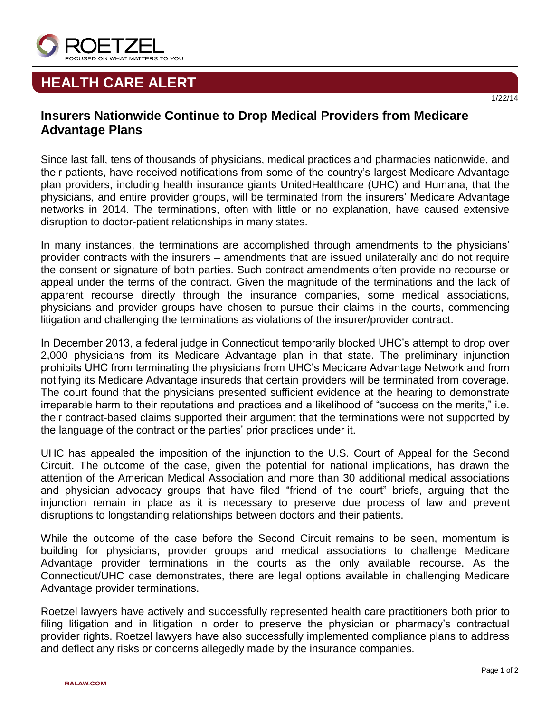

## **HEALTH CARE ALERT**

## **Insurers Nationwide Continue to Drop Medical Providers from Medicare Advantage Plans**

Since last fall, tens of thousands of physicians, medical practices and pharmacies nationwide, and their patients, have received notifications from some of the country's largest Medicare Advantage plan providers, including health insurance giants UnitedHealthcare (UHC) and Humana, that the physicians, and entire provider groups, will be terminated from the insurers' Medicare Advantage networks in 2014. The terminations, often with little or no explanation, have caused extensive disruption to doctor-patient relationships in many states.

In many instances, the terminations are accomplished through amendments to the physicians' provider contracts with the insurers – amendments that are issued unilaterally and do not require the consent or signature of both parties. Such contract amendments often provide no recourse or appeal under the terms of the contract. Given the magnitude of the terminations and the lack of apparent recourse directly through the insurance companies, some medical associations, physicians and provider groups have chosen to pursue their claims in the courts, commencing litigation and challenging the terminations as violations of the insurer/provider contract.

In December 2013, a federal judge in Connecticut temporarily blocked UHC's attempt to drop over 2,000 physicians from its Medicare Advantage plan in that state. The preliminary injunction prohibits UHC from terminating the physicians from UHC's Medicare Advantage Network and from notifying its Medicare Advantage insureds that certain providers will be terminated from coverage. The court found that the physicians presented sufficient evidence at the hearing to demonstrate irreparable harm to their reputations and practices and a likelihood of "success on the merits," i.e. their contract-based claims supported their argument that the terminations were not supported by the language of the contract or the parties' prior practices under it.

UHC has appealed the imposition of the injunction to the U.S. Court of Appeal for the Second Circuit. The outcome of the case, given the potential for national implications, has drawn the attention of the American Medical Association and more than 30 additional medical associations and physician advocacy groups that have filed "friend of the court" briefs, arguing that the injunction remain in place as it is necessary to preserve due process of law and prevent disruptions to longstanding relationships between doctors and their patients.

While the outcome of the case before the Second Circuit remains to be seen, momentum is building for physicians, provider groups and medical associations to challenge Medicare Advantage provider terminations in the courts as the only available recourse. As the Connecticut/UHC case demonstrates, there are legal options available in challenging Medicare Advantage provider terminations.

Roetzel lawyers have actively and successfully represented health care practitioners both prior to filing litigation and in litigation in order to preserve the physician or pharmacy's contractual provider rights. Roetzel lawyers have also successfully implemented compliance plans to address and deflect any risks or concerns allegedly made by the insurance companies.